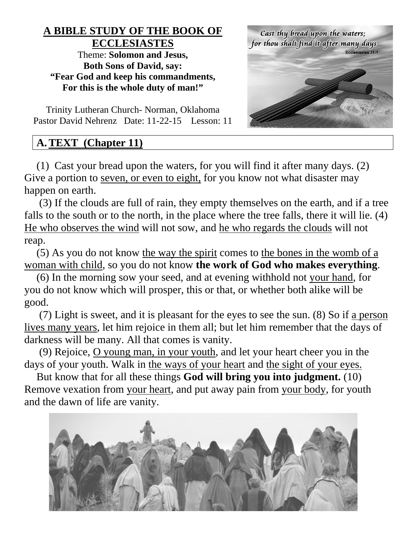# **A BIBLE STUDY OF THE BOOK OF ECCLESIASTES**

Theme: **Solomon and Jesus, Both Sons of David, say: "Fear God and keep his commandments, For this is the whole duty of man!"**

Cast thy bread upon the waters; for thou shalt find it after many days

Trinity Lutheran Church- Norman, Oklahoma Pastor David Nehrenz Date: 11-22-15 Lesson: 11

# **A.TEXT (Chapter 11)**

(1) Cast your bread upon the waters, for you will find it after many days. (2) Give a portion to seven, or even to eight, for you know not what disaster may happen on earth.

(3) If the clouds are full of rain, they empty themselves on the earth, and if a tree falls to the south or to the north, in the place where the tree falls, there it will lie. (4) He who observes the wind will not sow, and he who regards the clouds will not reap.

(5) As you do not know the way the spirit comes to the bones in the womb of  $\alpha$ woman with child, so you do not know **the work of God who makes everything**.

(6) In the morning sow your seed, and at evening withhold not your hand, for you do not know which will prosper, this or that, or whether both alike will be good.

(7) Light is sweet, and it is pleasant for the eyes to see the sun. (8) So if a person lives many years, let him rejoice in them all; but let him remember that the days of darkness will be many. All that comes is vanity.

(9) Rejoice, O young man, in your youth, and let your heart cheer you in the days of your youth. Walk in the ways of your heart and the sight of your eyes.

But know that for all these things **God will bring you into judgment.** (10) Remove vexation from your heart, and put away pain from your body, for youth and the dawn of life are vanity.